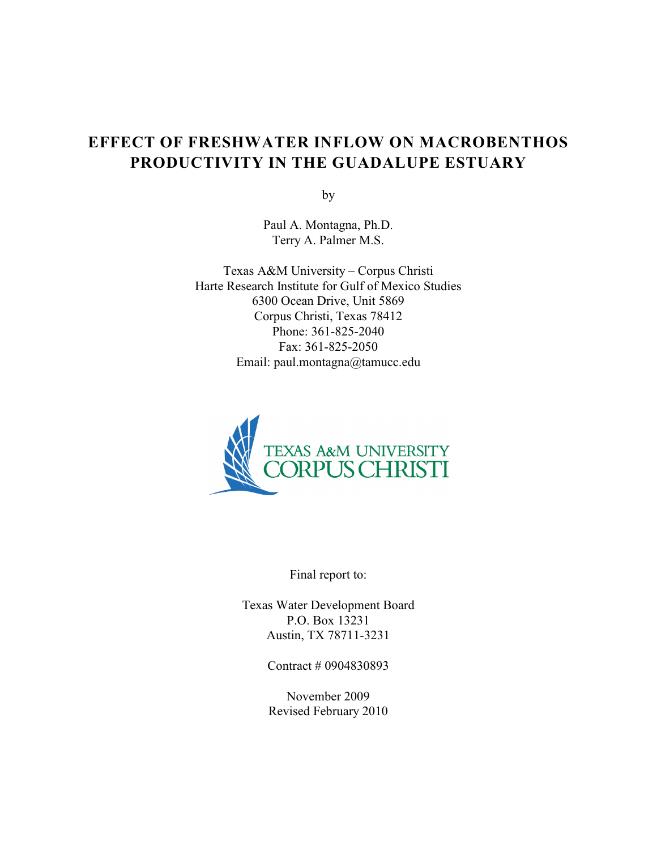# **EFFECT OF FRESHWATER INFLOW ON MACROBENTHOS PRODUCTIVITY IN THE GUADALUPE ESTUARY**

by

Paul A. Montagna, Ph.D. Terry A. Palmer M.S.

Texas A&M University – Corpus Christi Harte Research Institute for Gulf of Mexico Studies 6300 Ocean Drive, Unit 5869 Corpus Christi, Texas 78412 Phone: 361-825-2040 Fax: 361-825-2050 Email: paul.montagna@tamucc.edu



Final report to:

Texas Water Development Board P.O. Box 13231 Austin, TX 78711-3231

Contract # 0904830893

November 2009 Revised February 2010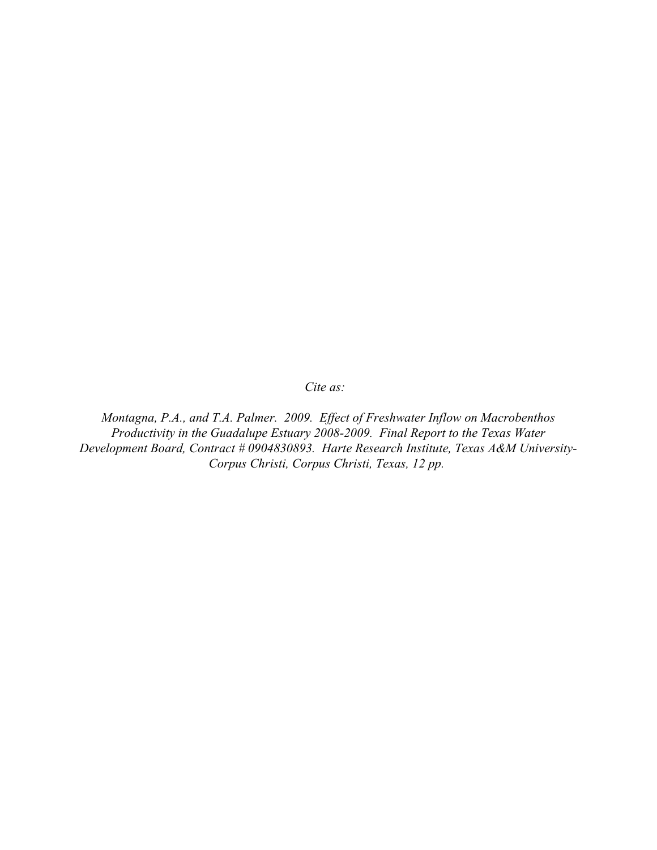*Cite as:* 

*Montagna, P.A., and T.A. Palmer. 2009. Effect of Freshwater Inflow on Macrobenthos Productivity in the Guadalupe Estuary 2008-2009. Final Report to the Texas Water Development Board, Contract # 0904830893. Harte Research Institute, Texas A&M University-Corpus Christi, Corpus Christi, Texas, 12 pp.*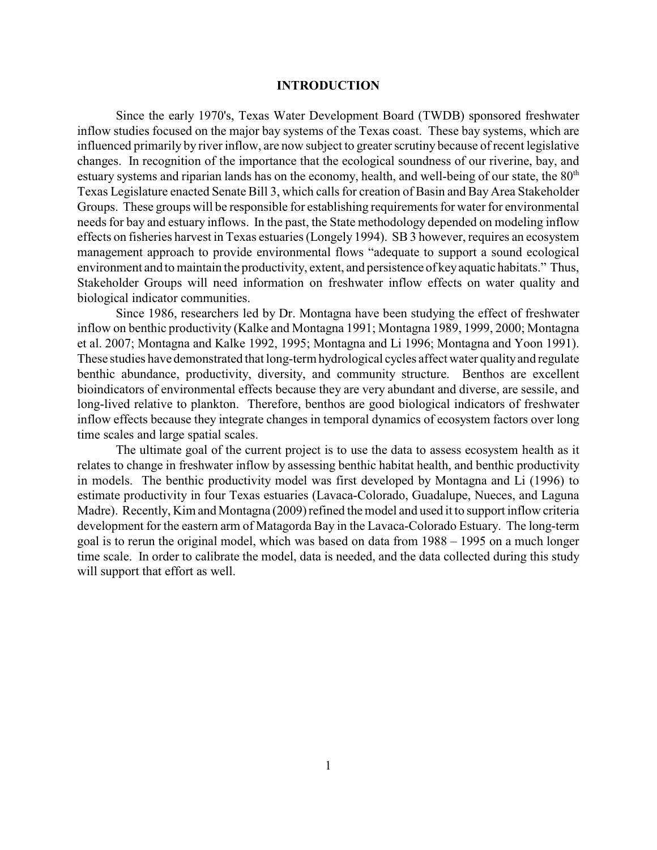#### **INTRODUCTION**

Since the early 1970's, Texas Water Development Board (TWDB) sponsored freshwater inflow studies focused on the major bay systems of the Texas coast. These bay systems, which are influenced primarily by river inflow, are now subject to greater scrutiny because of recent legislative changes. In recognition of the importance that the ecological soundness of our riverine, bay, and estuary systems and riparian lands has on the economy, health, and well-being of our state, the 80<sup>th</sup> Texas Legislature enacted Senate Bill 3, which calls for creation of Basin and Bay Area Stakeholder Groups. These groups will be responsible for establishing requirements for water for environmental needs for bay and estuary inflows. In the past, the State methodology depended on modeling inflow effects on fisheries harvest in Texas estuaries (Longely 1994). SB 3 however, requires an ecosystem management approach to provide environmental flows "adequate to support a sound ecological environment and to maintain the productivity, extent, and persistence of key aquatic habitats." Thus, Stakeholder Groups will need information on freshwater inflow effects on water quality and biological indicator communities.

Since 1986, researchers led by Dr. Montagna have been studying the effect of freshwater inflow on benthic productivity (Kalke and Montagna 1991; Montagna 1989, 1999, 2000; Montagna et al. 2007; Montagna and Kalke 1992, 1995; Montagna and Li 1996; Montagna and Yoon 1991). These studies have demonstrated that long-term hydrological cycles affect water quality and regulate benthic abundance, productivity, diversity, and community structure. Benthos are excellent bioindicators of environmental effects because they are very abundant and diverse, are sessile, and long-lived relative to plankton. Therefore, benthos are good biological indicators of freshwater inflow effects because they integrate changes in temporal dynamics of ecosystem factors over long time scales and large spatial scales.

The ultimate goal of the current project is to use the data to assess ecosystem health as it relates to change in freshwater inflow by assessing benthic habitat health, and benthic productivity in models. The benthic productivity model was first developed by Montagna and Li (1996) to estimate productivity in four Texas estuaries (Lavaca-Colorado, Guadalupe, Nueces, and Laguna Madre). Recently, Kim and Montagna (2009) refined the model and used it to support inflow criteria development for the eastern arm of Matagorda Bay in the Lavaca-Colorado Estuary. The long-term goal is to rerun the original model, which was based on data from 1988 – 1995 on a much longer time scale. In order to calibrate the model, data is needed, and the data collected during this study will support that effort as well.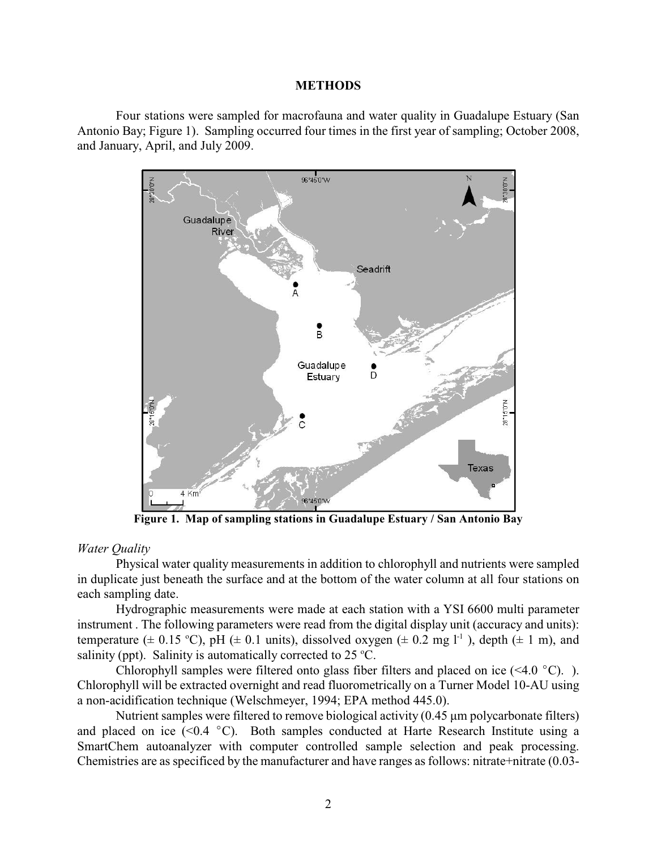#### **METHODS**

Four stations were sampled for macrofauna and water quality in Guadalupe Estuary (San Antonio Bay; Figure 1). Sampling occurred four times in the first year of sampling; October 2008, and January, April, and July 2009.



**Figure 1. Map of sampling stations in Guadalupe Estuary / San Antonio Bay**

## *Water Quality*

Physical water quality measurements in addition to chlorophyll and nutrients were sampled in duplicate just beneath the surface and at the bottom of the water column at all four stations on each sampling date.

Hydrographic measurements were made at each station with a YSI 6600 multi parameter instrument . The following parameters were read from the digital display unit (accuracy and units): temperature ( $\pm$  0.15 °C), pH ( $\pm$  0.1 units), dissolved oxygen ( $\pm$  0.2 mg l<sup>-1</sup>), depth ( $\pm$  1 m), and salinity (ppt). Salinity is automatically corrected to  $25 \degree C$ .

Chlorophyll samples were filtered onto glass fiber filters and placed on ice  $(\leq 4.0 \degree C)$ . Chlorophyll will be extracted overnight and read fluorometrically on a Turner Model 10-AU using a non-acidification technique (Welschmeyer, 1994; EPA method 445.0).

Nutrient samples were filtered to remove biological activity  $(0.45 \mu m)$  polycarbonate filters) and placed on ice  $(\leq 0.4 \degree C)$ . Both samples conducted at Harte Research Institute using a SmartChem autoanalyzer with computer controlled sample selection and peak processing. Chemistries are as specificed by the manufacturer and have ranges as follows: nitrate+nitrate (0.03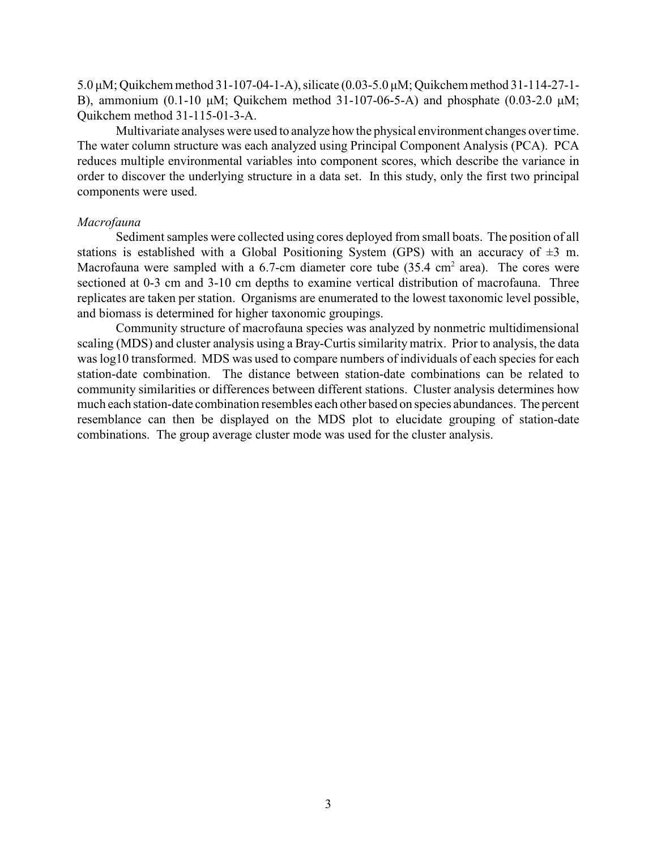5.0 μM; Quikchem method 31-107-04-1-A), silicate (0.03-5.0 μM; Quikchem method 31-114-27-1-B), ammonium (0.1-10  $\mu$ M; Quikchem method 31-107-06-5-A) and phosphate (0.03-2.0  $\mu$ M; Quikchem method 31-115-01-3-A.

Multivariate analyses were used to analyze howthe physical environment changes over time. The water column structure was each analyzed using Principal Component Analysis (PCA). PCA reduces multiple environmental variables into component scores, which describe the variance in order to discover the underlying structure in a data set. In this study, only the first two principal components were used.

#### *Macrofauna*

Sediment samples were collected using cores deployed from small boats. The position of all stations is established with a Global Positioning System (GPS) with an accuracy of  $\pm 3$  m. Macrofauna were sampled with a 6.7-cm diameter core tube  $(35.4 \text{ cm}^2 \text{ area})$ . The cores were sectioned at 0-3 cm and 3-10 cm depths to examine vertical distribution of macrofauna. Three replicates are taken per station. Organisms are enumerated to the lowest taxonomic level possible, and biomass is determined for higher taxonomic groupings.

Community structure of macrofauna species was analyzed by nonmetric multidimensional scaling (MDS) and cluster analysis using a Bray-Curtis similarity matrix. Prior to analysis, the data was log10 transformed. MDS was used to compare numbers of individuals of each species for each station-date combination. The distance between station-date combinations can be related to community similarities or differences between different stations. Cluster analysis determines how much each station-date combination resembles each other based on species abundances. The percent resemblance can then be displayed on the MDS plot to elucidate grouping of station-date combinations. The group average cluster mode was used for the cluster analysis.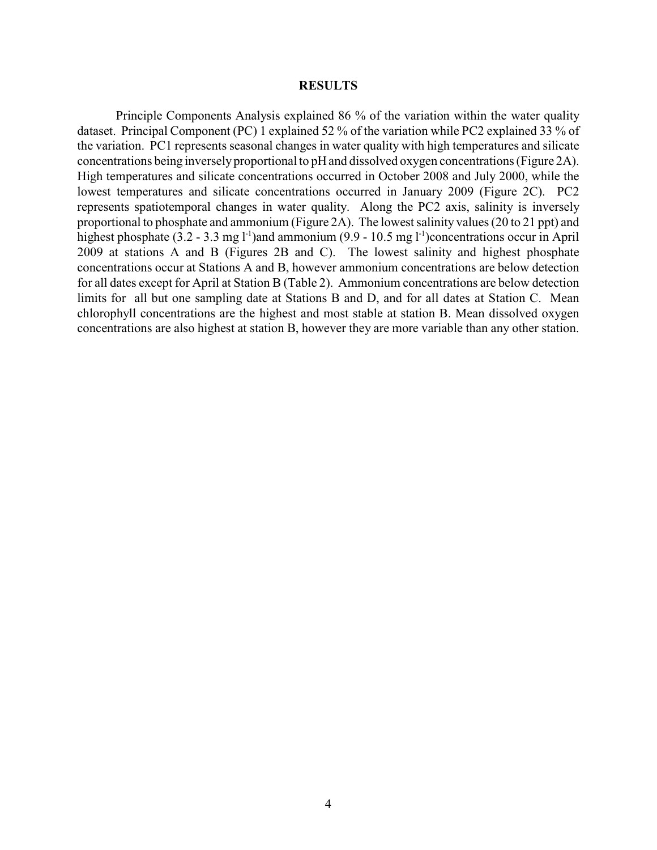#### **RESULTS**

Principle Components Analysis explained 86 % of the variation within the water quality dataset. Principal Component (PC) 1 explained 52 % of the variation while PC2 explained 33 % of the variation. PC1 represents seasonal changes in water quality with high temperatures and silicate concentrations being inversely proportional to pHand dissolved oxygen concentrations (Figure 2A). High temperatures and silicate concentrations occurred in October 2008 and July 2000, while the lowest temperatures and silicate concentrations occurred in January 2009 (Figure 2C). PC2 represents spatiotemporal changes in water quality. Along the PC2 axis, salinity is inversely proportional to phosphate and ammonium (Figure 2A). The lowest salinity values (20 to 21 ppt) and highest phosphate  $(3.2 - 3.3 \text{ mg l}^{-1})$  and ammonium  $(9.9 - 10.5 \text{ mg l}^{-1})$  concentrations occur in April 2009 at stations A and B (Figures 2B and C). The lowest salinity and highest phosphate concentrations occur at Stations A and B, however ammonium concentrations are below detection for all dates except for April at Station B (Table 2). Ammonium concentrations are below detection limits for all but one sampling date at Stations B and D, and for all dates at Station C. Mean chlorophyll concentrations are the highest and most stable at station B. Mean dissolved oxygen concentrations are also highest at station B, however they are more variable than any other station.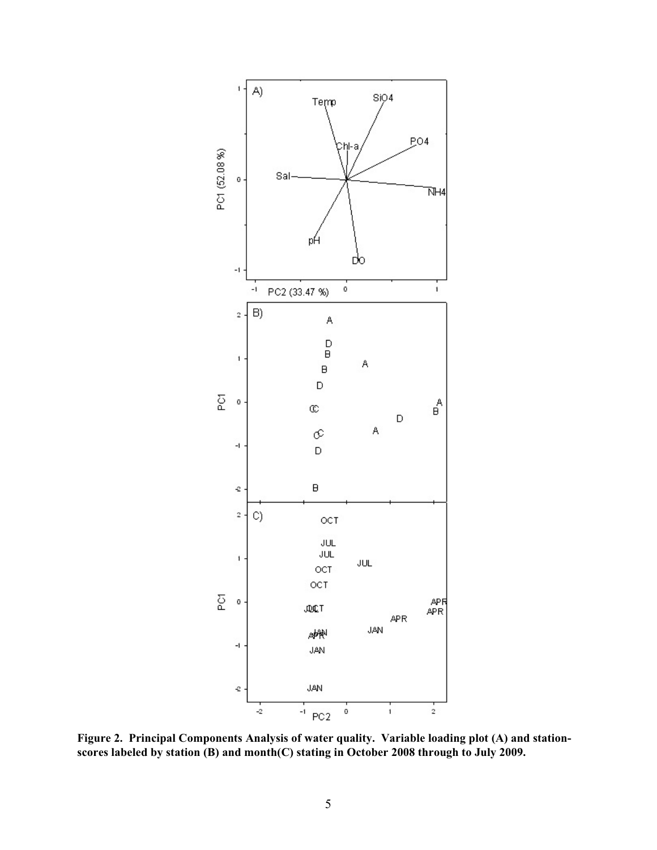

**Figure 2. Principal Components Analysis of water quality. Variable loading plot (A) and stationscores labeled by station (B) and month(C) stating in October 2008 through to July 2009.**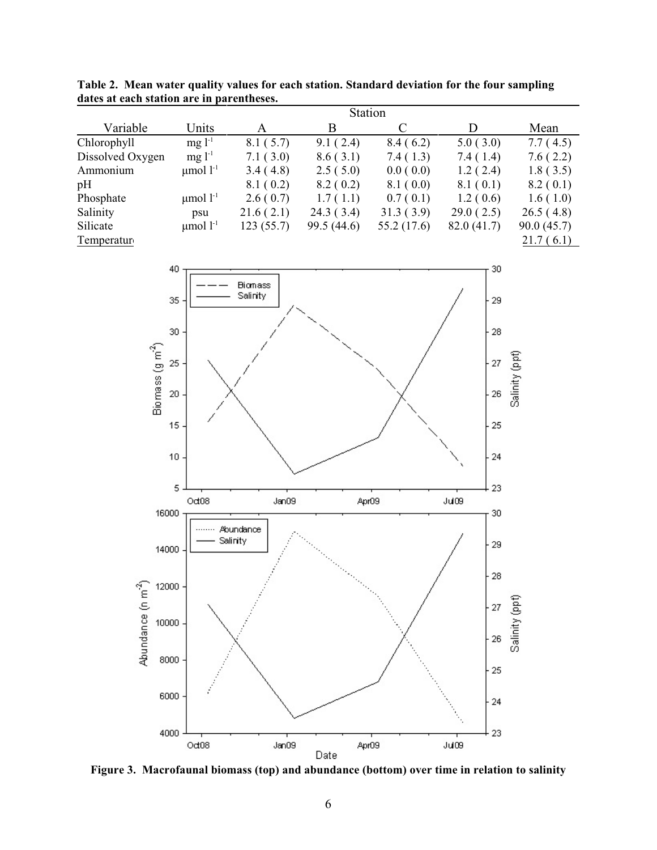|                  | Station            |           |             |             |            |            |  |  |
|------------------|--------------------|-----------|-------------|-------------|------------|------------|--|--|
| Variable         | Units              | A         | B           | C           | D          | Mean       |  |  |
| Chlorophyll      | $mg1^{-1}$         | 8.1(5.7)  | 9.1(2.4)    | 8.4(6.2)    | 5.0(3.0)   | 7.7(4.5)   |  |  |
| Dissolved Oxygen | $mg l^{-1}$        | 7.1(3.0)  | 8.6(3.1)    | 7.4(1.3)    | 7.4(1.4)   | 7.6(2.2)   |  |  |
| Ammonium         | $\mu$ mol $l^{-1}$ | 3.4(4.8)  | 2.5(5.0)    | 0.0(0.0)    | 1.2(2.4)   | 1.8(3.5)   |  |  |
| pH               |                    | 8.1(0.2)  | 8.2(0.2)    | 8.1(0.0)    | 8.1(0.1)   | 8.2(0.1)   |  |  |
| Phosphate        | $\mu$ mol $l^{-1}$ | 2.6(0.7)  | 1.7(1.1)    | 0.7(0.1)    | 1.2(0.6)   | 1.6(1.0)   |  |  |
| Salinity         | psu                | 21.6(2.1) | 24.3(3.4)   | 31.3(3.9)   | 29.0(2.5)  | 26.5(4.8)  |  |  |
| Silicate         | $\mu$ mol $l^{-1}$ | 123(55.7) | 99.5 (44.6) | 55.2 (17.6) | 82.0(41.7) | 90.0(45.7) |  |  |
| Temperatur       |                    |           |             |             |            | 21.7(6.1)  |  |  |

**Table 2. Mean water quality values for each station. Standard deviation for the four sampling dates at each station are in parentheses.**



**Figure 3. Macrofaunal biomass (top) and abundance (bottom) over time in relation to salinity**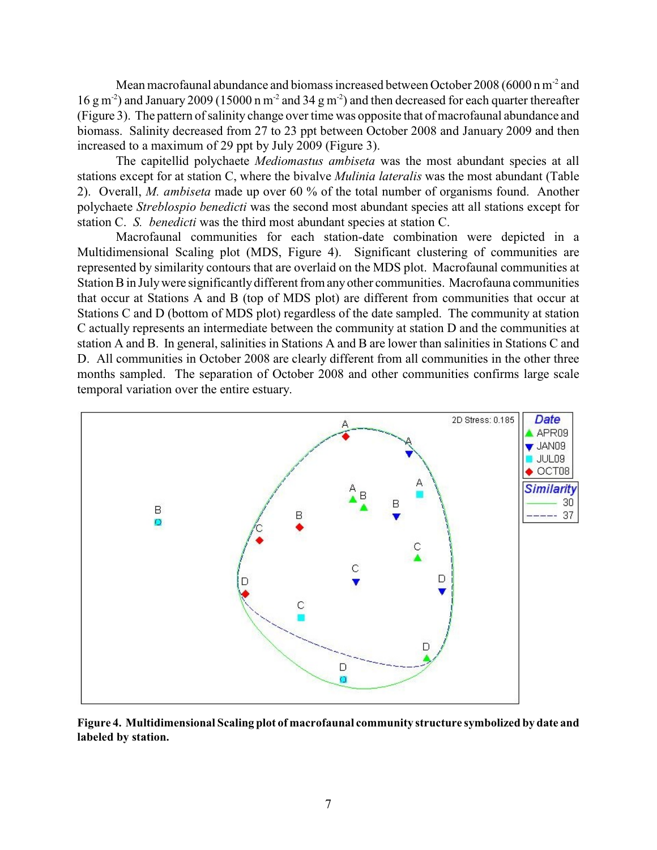Mean macrofaunal abundance and biomass increased between October 2008 (6000 n m<sup>-2</sup> and  $16 \text{ g m}^2$ ) and January 2009 (15000 n m<sup>-2</sup> and 34 g m<sup>-2</sup>) and then decreased for each quarter thereafter (Figure 3). The pattern of salinity change over time was opposite that of macrofaunal abundance and biomass. Salinity decreased from 27 to 23 ppt between October 2008 and January 2009 and then increased to a maximum of 29 ppt by July 2009 (Figure 3).

The capitellid polychaete *Mediomastus ambiseta* was the most abundant species at all stations except for at station C, where the bivalve *Mulinia lateralis* was the most abundant (Table 2). Overall, *M. ambiseta* made up over 60 % of the total number of organisms found. Another polychaete *Streblospio benedicti* was the second most abundant species att all stations except for station C. *S. benedicti* was the third most abundant species at station C.

Macrofaunal communities for each station-date combination were depicted in a Multidimensional Scaling plot (MDS, Figure 4). Significant clustering of communities are represented by similarity contours that are overlaid on the MDS plot. Macrofaunal communities at Station B in July were significantly different from any other communities. Macrofauna communities that occur at Stations A and B (top of MDS plot) are different from communities that occur at Stations C and D (bottom of MDS plot) regardless of the date sampled. The community at station C actually represents an intermediate between the community at station D and the communities at station A and B. In general, salinities in Stations A and B are lower than salinities in Stations C and D. All communities in October 2008 are clearly different from all communities in the other three months sampled. The separation of October 2008 and other communities confirms large scale temporal variation over the entire estuary.



**Figure 4. Multidimensional Scaling plot of macrofaunal community structure symbolized by date and labeled by station.**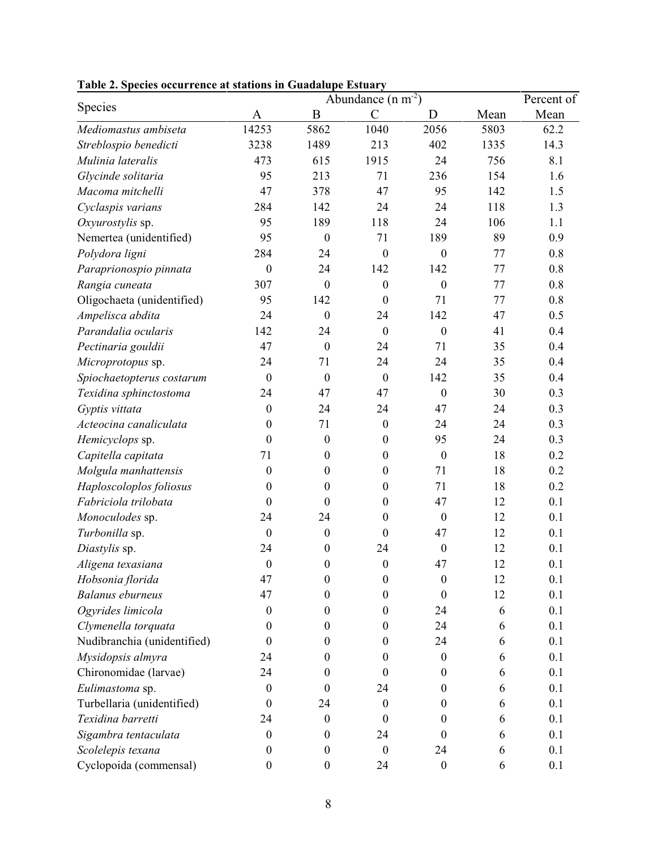|  | Table 2. Species occurrence at stations in Guadalupe Estuary |  |  |  |
|--|--------------------------------------------------------------|--|--|--|
|--|--------------------------------------------------------------|--|--|--|

| Abundance $(n m-2)$<br>Species<br>$\mathcal{C}$<br>Mean<br>$\boldsymbol{B}$<br>Mean<br>D<br>A<br>Mediomastus ambiseta<br>14253<br>5862<br>1040<br>2056<br>5803<br>62.2<br>Streblospio benedicti<br>3238<br>1489<br>213<br>402<br>1335<br>14.3<br>615<br>1915<br>756<br>8.1<br>Mulinia lateralis<br>473<br>24<br>95<br>213<br>71<br>236<br>154<br>Glycinde solitaria<br>1.6<br>47<br>47<br>378<br>95<br>142<br>Macoma mitchelli<br>1.5<br>284<br>142<br>24<br>24<br>118<br>Cyclaspis varians<br>1.3<br>189<br>95<br>118<br>24<br>106<br>1.1<br>Oxyurostylis sp.<br>95<br>$\boldsymbol{0}$<br>189<br>Nemertea (unidentified)<br>71<br>89<br>0.9<br>Polydora ligni<br>284<br>$\boldsymbol{0}$<br>$\boldsymbol{0}$<br>0.8<br>24<br>77<br>$\boldsymbol{0}$<br>142<br>142<br>77<br>0.8<br>Paraprionospio pinnata<br>24<br>307<br>$\boldsymbol{0}$<br>$\boldsymbol{0}$<br>0.8<br>Rangia cuneata<br>$\boldsymbol{0}$<br>77<br>95<br>142<br>71<br>77<br>0.8<br>Oligochaeta (unidentified)<br>$\boldsymbol{0}$<br>$\boldsymbol{0}$<br>142<br>Ampelisca abdita<br>24<br>47<br>0.5<br>24<br>Parandalia ocularis<br>142<br>$\boldsymbol{0}$<br>0.4<br>24<br>$\mathbf{0}$<br>41<br>47<br>Pectinaria gouldii<br>$\boldsymbol{0}$<br>71<br>0.4<br>24<br>35<br>24<br>24<br>71<br>24<br>35<br>0.4<br>Microprotopus sp.<br>$\boldsymbol{0}$<br>$\boldsymbol{0}$<br>142<br>$\boldsymbol{0}$<br>35<br>0.4<br>Spiochaetopterus costarum<br>$\boldsymbol{0}$<br>30<br>0.3<br>Texidina sphinctostoma<br>24<br>47<br>47<br>47<br>0.3<br>Gyptis vittata<br>$\boldsymbol{0}$<br>24<br>24<br>24 |
|---------------------------------------------------------------------------------------------------------------------------------------------------------------------------------------------------------------------------------------------------------------------------------------------------------------------------------------------------------------------------------------------------------------------------------------------------------------------------------------------------------------------------------------------------------------------------------------------------------------------------------------------------------------------------------------------------------------------------------------------------------------------------------------------------------------------------------------------------------------------------------------------------------------------------------------------------------------------------------------------------------------------------------------------------------------------------------------------------------------------------------------------------------------------------------------------------------------------------------------------------------------------------------------------------------------------------------------------------------------------------------------------------------------------------------------------------------------------------------------------------------------------------------------------------------------------|
|                                                                                                                                                                                                                                                                                                                                                                                                                                                                                                                                                                                                                                                                                                                                                                                                                                                                                                                                                                                                                                                                                                                                                                                                                                                                                                                                                                                                                                                                                                                                                                     |
|                                                                                                                                                                                                                                                                                                                                                                                                                                                                                                                                                                                                                                                                                                                                                                                                                                                                                                                                                                                                                                                                                                                                                                                                                                                                                                                                                                                                                                                                                                                                                                     |
|                                                                                                                                                                                                                                                                                                                                                                                                                                                                                                                                                                                                                                                                                                                                                                                                                                                                                                                                                                                                                                                                                                                                                                                                                                                                                                                                                                                                                                                                                                                                                                     |
|                                                                                                                                                                                                                                                                                                                                                                                                                                                                                                                                                                                                                                                                                                                                                                                                                                                                                                                                                                                                                                                                                                                                                                                                                                                                                                                                                                                                                                                                                                                                                                     |
|                                                                                                                                                                                                                                                                                                                                                                                                                                                                                                                                                                                                                                                                                                                                                                                                                                                                                                                                                                                                                                                                                                                                                                                                                                                                                                                                                                                                                                                                                                                                                                     |
|                                                                                                                                                                                                                                                                                                                                                                                                                                                                                                                                                                                                                                                                                                                                                                                                                                                                                                                                                                                                                                                                                                                                                                                                                                                                                                                                                                                                                                                                                                                                                                     |
|                                                                                                                                                                                                                                                                                                                                                                                                                                                                                                                                                                                                                                                                                                                                                                                                                                                                                                                                                                                                                                                                                                                                                                                                                                                                                                                                                                                                                                                                                                                                                                     |
|                                                                                                                                                                                                                                                                                                                                                                                                                                                                                                                                                                                                                                                                                                                                                                                                                                                                                                                                                                                                                                                                                                                                                                                                                                                                                                                                                                                                                                                                                                                                                                     |
|                                                                                                                                                                                                                                                                                                                                                                                                                                                                                                                                                                                                                                                                                                                                                                                                                                                                                                                                                                                                                                                                                                                                                                                                                                                                                                                                                                                                                                                                                                                                                                     |
|                                                                                                                                                                                                                                                                                                                                                                                                                                                                                                                                                                                                                                                                                                                                                                                                                                                                                                                                                                                                                                                                                                                                                                                                                                                                                                                                                                                                                                                                                                                                                                     |
|                                                                                                                                                                                                                                                                                                                                                                                                                                                                                                                                                                                                                                                                                                                                                                                                                                                                                                                                                                                                                                                                                                                                                                                                                                                                                                                                                                                                                                                                                                                                                                     |
|                                                                                                                                                                                                                                                                                                                                                                                                                                                                                                                                                                                                                                                                                                                                                                                                                                                                                                                                                                                                                                                                                                                                                                                                                                                                                                                                                                                                                                                                                                                                                                     |
|                                                                                                                                                                                                                                                                                                                                                                                                                                                                                                                                                                                                                                                                                                                                                                                                                                                                                                                                                                                                                                                                                                                                                                                                                                                                                                                                                                                                                                                                                                                                                                     |
|                                                                                                                                                                                                                                                                                                                                                                                                                                                                                                                                                                                                                                                                                                                                                                                                                                                                                                                                                                                                                                                                                                                                                                                                                                                                                                                                                                                                                                                                                                                                                                     |
|                                                                                                                                                                                                                                                                                                                                                                                                                                                                                                                                                                                                                                                                                                                                                                                                                                                                                                                                                                                                                                                                                                                                                                                                                                                                                                                                                                                                                                                                                                                                                                     |
|                                                                                                                                                                                                                                                                                                                                                                                                                                                                                                                                                                                                                                                                                                                                                                                                                                                                                                                                                                                                                                                                                                                                                                                                                                                                                                                                                                                                                                                                                                                                                                     |
|                                                                                                                                                                                                                                                                                                                                                                                                                                                                                                                                                                                                                                                                                                                                                                                                                                                                                                                                                                                                                                                                                                                                                                                                                                                                                                                                                                                                                                                                                                                                                                     |
|                                                                                                                                                                                                                                                                                                                                                                                                                                                                                                                                                                                                                                                                                                                                                                                                                                                                                                                                                                                                                                                                                                                                                                                                                                                                                                                                                                                                                                                                                                                                                                     |
|                                                                                                                                                                                                                                                                                                                                                                                                                                                                                                                                                                                                                                                                                                                                                                                                                                                                                                                                                                                                                                                                                                                                                                                                                                                                                                                                                                                                                                                                                                                                                                     |
|                                                                                                                                                                                                                                                                                                                                                                                                                                                                                                                                                                                                                                                                                                                                                                                                                                                                                                                                                                                                                                                                                                                                                                                                                                                                                                                                                                                                                                                                                                                                                                     |
| 0.3<br>71<br>$\boldsymbol{0}$<br>Acteocina canaliculata<br>$\boldsymbol{0}$<br>24<br>24                                                                                                                                                                                                                                                                                                                                                                                                                                                                                                                                                                                                                                                                                                                                                                                                                                                                                                                                                                                                                                                                                                                                                                                                                                                                                                                                                                                                                                                                             |
| $\boldsymbol{0}$<br>95<br>0.3<br>Hemicyclops sp.<br>$\boldsymbol{0}$<br>$\boldsymbol{0}$<br>24                                                                                                                                                                                                                                                                                                                                                                                                                                                                                                                                                                                                                                                                                                                                                                                                                                                                                                                                                                                                                                                                                                                                                                                                                                                                                                                                                                                                                                                                      |
| 71<br>$\boldsymbol{0}$<br>18<br>0.2<br>Capitella capitata<br>$\boldsymbol{0}$<br>$\boldsymbol{0}$                                                                                                                                                                                                                                                                                                                                                                                                                                                                                                                                                                                                                                                                                                                                                                                                                                                                                                                                                                                                                                                                                                                                                                                                                                                                                                                                                                                                                                                                   |
| Molgula manhattensis<br>$\boldsymbol{0}$<br>71<br>0.2<br>$\boldsymbol{0}$<br>$\boldsymbol{0}$<br>18                                                                                                                                                                                                                                                                                                                                                                                                                                                                                                                                                                                                                                                                                                                                                                                                                                                                                                                                                                                                                                                                                                                                                                                                                                                                                                                                                                                                                                                                 |
| Haploscoloplos foliosus<br>71<br>18<br>0.2<br>$\boldsymbol{0}$<br>$\boldsymbol{0}$<br>$\boldsymbol{0}$                                                                                                                                                                                                                                                                                                                                                                                                                                                                                                                                                                                                                                                                                                                                                                                                                                                                                                                                                                                                                                                                                                                                                                                                                                                                                                                                                                                                                                                              |
| 47<br>0.1<br>Fabriciola trilobata<br>$\boldsymbol{0}$<br>$\boldsymbol{0}$<br>12<br>$\boldsymbol{0}$                                                                                                                                                                                                                                                                                                                                                                                                                                                                                                                                                                                                                                                                                                                                                                                                                                                                                                                                                                                                                                                                                                                                                                                                                                                                                                                                                                                                                                                                 |
| $\boldsymbol{0}$<br>Monoculodes sp.<br>24<br>24<br>$\boldsymbol{0}$<br>12<br>0.1                                                                                                                                                                                                                                                                                                                                                                                                                                                                                                                                                                                                                                                                                                                                                                                                                                                                                                                                                                                                                                                                                                                                                                                                                                                                                                                                                                                                                                                                                    |
| Turbonilla sp.<br>$\boldsymbol{0}$<br>$\boldsymbol{0}$<br>47<br>12<br>0.1<br>$\boldsymbol{0}$                                                                                                                                                                                                                                                                                                                                                                                                                                                                                                                                                                                                                                                                                                                                                                                                                                                                                                                                                                                                                                                                                                                                                                                                                                                                                                                                                                                                                                                                       |
| $\boldsymbol{0}$<br>Diastylis sp.<br>24<br>$\boldsymbol{0}$<br>24<br>12<br>0.1                                                                                                                                                                                                                                                                                                                                                                                                                                                                                                                                                                                                                                                                                                                                                                                                                                                                                                                                                                                                                                                                                                                                                                                                                                                                                                                                                                                                                                                                                      |
| $\boldsymbol{0}$<br>$\boldsymbol{0}$<br>47<br>12<br>0.1<br>$\boldsymbol{0}$<br>Aligena texasiana                                                                                                                                                                                                                                                                                                                                                                                                                                                                                                                                                                                                                                                                                                                                                                                                                                                                                                                                                                                                                                                                                                                                                                                                                                                                                                                                                                                                                                                                    |
| 47<br>Hobsonia florida<br>$\boldsymbol{0}$<br>$\boldsymbol{0}$<br>12<br>0.1<br>$\boldsymbol{0}$                                                                                                                                                                                                                                                                                                                                                                                                                                                                                                                                                                                                                                                                                                                                                                                                                                                                                                                                                                                                                                                                                                                                                                                                                                                                                                                                                                                                                                                                     |
| <b>Balanus</b> eburneus<br>47<br>$\boldsymbol{0}$<br>12<br>0.1<br>$\boldsymbol{0}$<br>$\theta$                                                                                                                                                                                                                                                                                                                                                                                                                                                                                                                                                                                                                                                                                                                                                                                                                                                                                                                                                                                                                                                                                                                                                                                                                                                                                                                                                                                                                                                                      |
| Ogyrides limicola<br>0.1<br>24<br>6<br>$\mathbf{0}$<br>$\boldsymbol{0}$<br>$\boldsymbol{0}$                                                                                                                                                                                                                                                                                                                                                                                                                                                                                                                                                                                                                                                                                                                                                                                                                                                                                                                                                                                                                                                                                                                                                                                                                                                                                                                                                                                                                                                                         |
| Clymenella torquata<br>$\boldsymbol{0}$<br>24<br>0.1<br>$\mathbf{0}$<br>6<br>$\mathbf{0}$                                                                                                                                                                                                                                                                                                                                                                                                                                                                                                                                                                                                                                                                                                                                                                                                                                                                                                                                                                                                                                                                                                                                                                                                                                                                                                                                                                                                                                                                           |
| Nudibranchia (unidentified)<br>0.1<br>24<br>6<br>$\boldsymbol{0}$<br>$\theta$<br>$\theta$                                                                                                                                                                                                                                                                                                                                                                                                                                                                                                                                                                                                                                                                                                                                                                                                                                                                                                                                                                                                                                                                                                                                                                                                                                                                                                                                                                                                                                                                           |
| Mysidopsis almyra<br>24<br>$\boldsymbol{0}$<br>$\boldsymbol{0}$<br>6<br>0.1<br>$\boldsymbol{0}$                                                                                                                                                                                                                                                                                                                                                                                                                                                                                                                                                                                                                                                                                                                                                                                                                                                                                                                                                                                                                                                                                                                                                                                                                                                                                                                                                                                                                                                                     |
| Chironomidae (larvae)<br>0.1<br>24<br>$\theta$<br>$\Omega$<br>0<br>6                                                                                                                                                                                                                                                                                                                                                                                                                                                                                                                                                                                                                                                                                                                                                                                                                                                                                                                                                                                                                                                                                                                                                                                                                                                                                                                                                                                                                                                                                                |
| Eulimastoma sp.<br>0.1<br>$\boldsymbol{0}$<br>24<br>$\theta$<br>$\boldsymbol{0}$<br>6                                                                                                                                                                                                                                                                                                                                                                                                                                                                                                                                                                                                                                                                                                                                                                                                                                                                                                                                                                                                                                                                                                                                                                                                                                                                                                                                                                                                                                                                               |
| Turbellaria (unidentified)<br>24<br>0.1<br>$\boldsymbol{0}$<br>$\boldsymbol{0}$<br>$\mathbf{0}$<br>6                                                                                                                                                                                                                                                                                                                                                                                                                                                                                                                                                                                                                                                                                                                                                                                                                                                                                                                                                                                                                                                                                                                                                                                                                                                                                                                                                                                                                                                                |
| Texidina barretti<br>24<br>$\boldsymbol{0}$<br>$\theta$<br>6<br>0.1<br>$\boldsymbol{0}$                                                                                                                                                                                                                                                                                                                                                                                                                                                                                                                                                                                                                                                                                                                                                                                                                                                                                                                                                                                                                                                                                                                                                                                                                                                                                                                                                                                                                                                                             |
| Sigambra tentaculata<br>$\boldsymbol{0}$<br>$\boldsymbol{0}$<br>24<br>$\boldsymbol{0}$<br>6<br>0.1                                                                                                                                                                                                                                                                                                                                                                                                                                                                                                                                                                                                                                                                                                                                                                                                                                                                                                                                                                                                                                                                                                                                                                                                                                                                                                                                                                                                                                                                  |
| Scolelepis texana<br>24<br>0.1<br>$\boldsymbol{0}$<br>$\boldsymbol{0}$<br>$\boldsymbol{0}$<br>6                                                                                                                                                                                                                                                                                                                                                                                                                                                                                                                                                                                                                                                                                                                                                                                                                                                                                                                                                                                                                                                                                                                                                                                                                                                                                                                                                                                                                                                                     |
| Cyclopoida (commensal)<br>$\boldsymbol{0}$<br>24<br>$\boldsymbol{0}$<br>0.1<br>$\boldsymbol{0}$<br>6                                                                                                                                                                                                                                                                                                                                                                                                                                                                                                                                                                                                                                                                                                                                                                                                                                                                                                                                                                                                                                                                                                                                                                                                                                                                                                                                                                                                                                                                |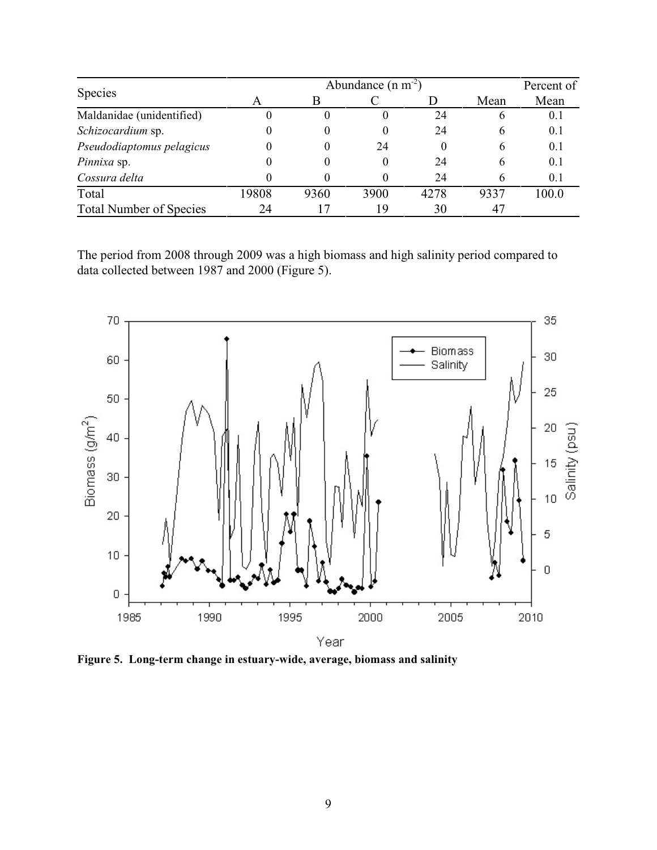|                                | Abundance $(n m-2)$ |        |          |          |      | Percent of |
|--------------------------------|---------------------|--------|----------|----------|------|------------|
| <b>Species</b>                 | A                   |        |          |          | Mean | Mean       |
| Maldanidae (unidentified)      | 0                   |        |          | 24       | O    | 0.1        |
| Schizocardium sp.              | 0                   | 0      |          | 24       | 6    | 0.1        |
| Pseudodiaptomus pelagicus      | 0                   | $_{0}$ | 24       | $\theta$ | b    | 0.1        |
| Pinnixa sp.                    | 0                   |        | $\Omega$ | 24       | h    | 0.1        |
| Cossura delta                  |                     |        |          | 24       |      | 0.1        |
| Total                          | 19808               | 9360   | 3900     | 4278     | 9337 | 100.0      |
| <b>Total Number of Species</b> | 24                  |        | 19       | 30       | 47   |            |

The period from 2008 through 2009 was a high biomass and high salinity period compared to data collected between 1987 and 2000 (Figure 5).



**Figure 5. Long-term change in estuary-wide, average, biomass and salinity**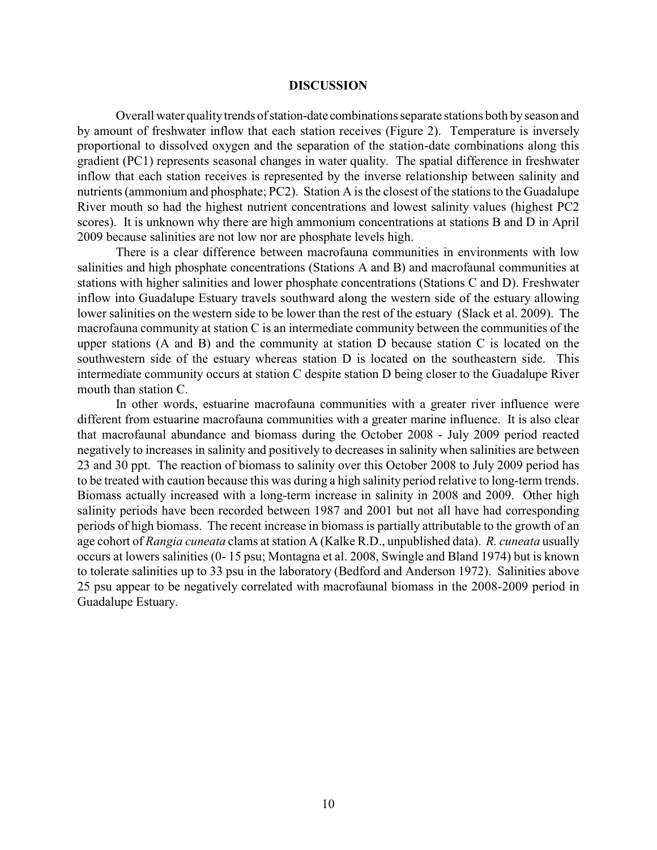#### **DISCUSSION**

Overall water quality trends of station-date combinations separate stations both by season and by amount of freshwater inflow that each station receives (Figure 2). Temperature is inversely proportional to dissolved oxygen and the separation of the station-date combinations along this gradient (PC1) represents seasonal changes in water quality. The spatial difference in freshwater inflow that each station receives is represented by the inverse relationship between salinity and nutrients (ammonium and phosphate; PC2). Station A is the closest of the stations to the Guadalupe River mouth so had the highest nutrient concentrations and lowest salinity values (highest PC2 scores). It is unknown why there are high ammonium concentrations at stations B and D in April 2009 because salinities are not low nor are phosphate levels high.

There is a clear difference between macrofauna communities in environments with low salinities and high phosphate concentrations (Stations A and B) and macrofaunal communities at stations with higher salinities and lower phosphate concentrations (Stations C and D). Freshwater inflow into Guadalupe Estuary travels southward along the western side of the estuary allowing lower salinities on the western side to be lower than the rest of the estuary (Slack et al. 2009). The macrofauna community at station C is an intermediate community between the communities of the upper stations (A and B) and the community at station D because station C is located on the southwestern side of the estuary whereas station D is located on the southeastern side. This intermediate community occurs at station C despite station D being closer to the Guadalupe River mouth than station C.

In other words, estuarine macrofauna communities with a greater river influence were different from estuarine macrofauna communities with a greater marine influence. It is also clear that macrofaunal abundance and biomass during the October 2008 - July 2009 period reacted negatively to increases in salinity and positively to decreases in salinity when salinities are between 23 and 30 ppt. The reaction of biomass to salinity over this October 2008 to July 2009 period has to be treated with caution because this was during a high salinity period relative to long-term trends. Biomass actually increased with a long-term increase in salinity in 2008 and 2009. Other high salinity periods have been recorded between 1987 and 2001 but not all have had corresponding periods of high biomass. The recent increase in biomass is partially attributable to the growth of an age cohort of *Rangia cuneata* clams at station A (Kalke R.D., unpublished data). *R. cuneata* usually occurs at lowers salinities (0- 15 psu; Montagna et al. 2008, Swingle and Bland 1974) but is known to tolerate salinities up to 33 psu in the laboratory (Bedford and Anderson 1972). Salinities above 25 psu appear to be negatively correlated with macrofaunal biomass in the 2008-2009 period in Guadalupe Estuary.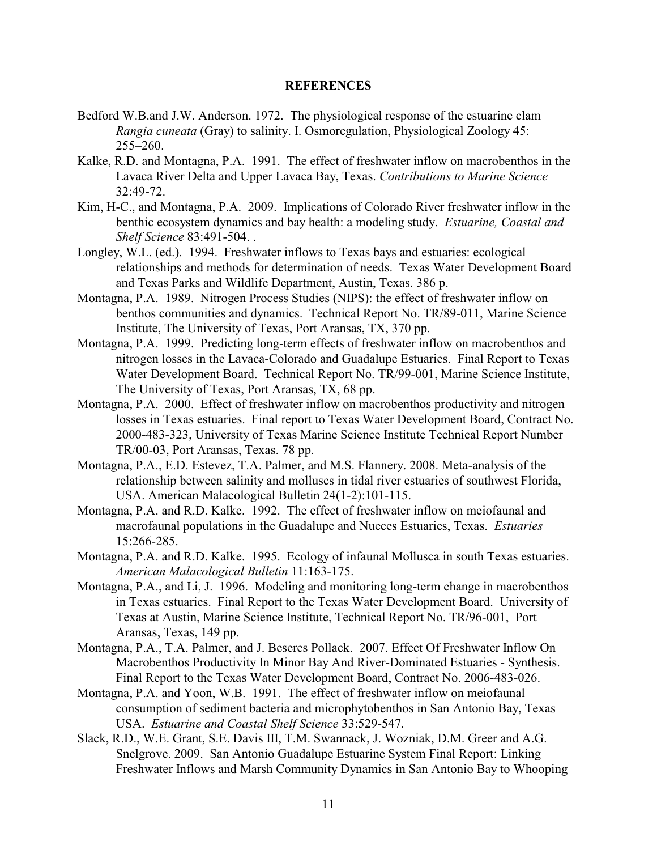#### **REFERENCES**

- Bedford W.B.and J.W. Anderson. 1972. The physiological response of the estuarine clam *Rangia cuneata* (Gray) to salinity. I. Osmoregulation, Physiological Zoology 45: 255–260.
- Kalke, R.D. and Montagna, P.A. 1991. The effect of freshwater inflow on macrobenthos in the Lavaca River Delta and Upper Lavaca Bay, Texas. *Contributions to Marine Science* 32:49-72.
- Kim, H-C., and Montagna, P.A. 2009. Implications of Colorado River freshwater inflow in the benthic ecosystem dynamics and bay health: a modeling study. *Estuarine, Coastal and Shelf Science* 83:491-504. .
- Longley, W.L. (ed.). 1994. Freshwater inflows to Texas bays and estuaries: ecological relationships and methods for determination of needs. Texas Water Development Board and Texas Parks and Wildlife Department, Austin, Texas. 386 p.
- Montagna, P.A. 1989. Nitrogen Process Studies (NIPS): the effect of freshwater inflow on benthos communities and dynamics. Technical Report No. TR/89-011, Marine Science Institute, The University of Texas, Port Aransas, TX, 370 pp.
- Montagna, P.A. 1999. Predicting long-term effects of freshwater inflow on macrobenthos and nitrogen losses in the Lavaca-Colorado and Guadalupe Estuaries. Final Report to Texas Water Development Board. Technical Report No. TR/99-001, Marine Science Institute, The University of Texas, Port Aransas, TX, 68 pp.
- Montagna, P.A. 2000. Effect of freshwater inflow on macrobenthos productivity and nitrogen losses in Texas estuaries. Final report to Texas Water Development Board, Contract No. 2000-483-323, University of Texas Marine Science Institute Technical Report Number TR/00-03, Port Aransas, Texas. 78 pp.
- Montagna, P.A., E.D. Estevez, T.A. Palmer, and M.S. Flannery. 2008. Meta-analysis of the relationship between salinity and molluscs in tidal river estuaries of southwest Florida, USA. American Malacological Bulletin 24(1-2):101-115.
- Montagna, P.A. and R.D. Kalke. 1992. The effect of freshwater inflow on meiofaunal and macrofaunal populations in the Guadalupe and Nueces Estuaries, Texas. *Estuaries* 15:266-285.
- Montagna, P.A. and R.D. Kalke. 1995. Ecology of infaunal Mollusca in south Texas estuaries. *American Malacological Bulletin* 11:163-175.
- Montagna, P.A., and Li, J. 1996. Modeling and monitoring long-term change in macrobenthos in Texas estuaries. Final Report to the Texas Water Development Board. University of Texas at Austin, Marine Science Institute, Technical Report No. TR/96-001, Port Aransas, Texas, 149 pp.
- Montagna, P.A., T.A. Palmer, and J. Beseres Pollack. 2007. Effect Of Freshwater Inflow On Macrobenthos Productivity In Minor Bay And River-Dominated Estuaries - Synthesis. Final Report to the Texas Water Development Board, Contract No. 2006-483-026.
- Montagna, P.A. and Yoon, W.B. 1991. The effect of freshwater inflow on meiofaunal consumption of sediment bacteria and microphytobenthos in San Antonio Bay, Texas USA. *Estuarine and Coastal Shelf Science* 33:529-547.
- Slack, R.D., W.E. Grant, S.E. Davis III, T.M. Swannack, J. Wozniak, D.M. Greer and A.G. Snelgrove. 2009. San Antonio Guadalupe Estuarine System Final Report: Linking Freshwater Inflows and Marsh Community Dynamics in San Antonio Bay to Whooping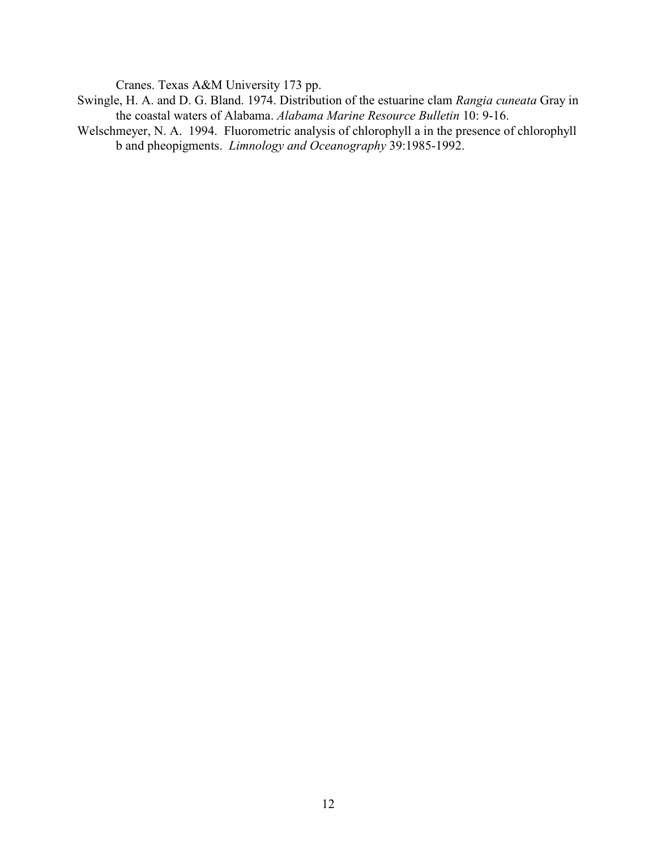Cranes. Texas A&M University 173 pp.

- Swingle, H. A. and D. G. Bland. 1974. Distribution of the estuarine clam *Rangia cuneata* Gray in the coastal waters of Alabama. *Alabama Marine Resource Bulletin* 10: 9-16.
- Welschmeyer, N. A. 1994. Fluorometric analysis of chlorophyll a in the presence of chlorophyll b and pheopigments. *Limnology and Oceanography* 39:1985-1992.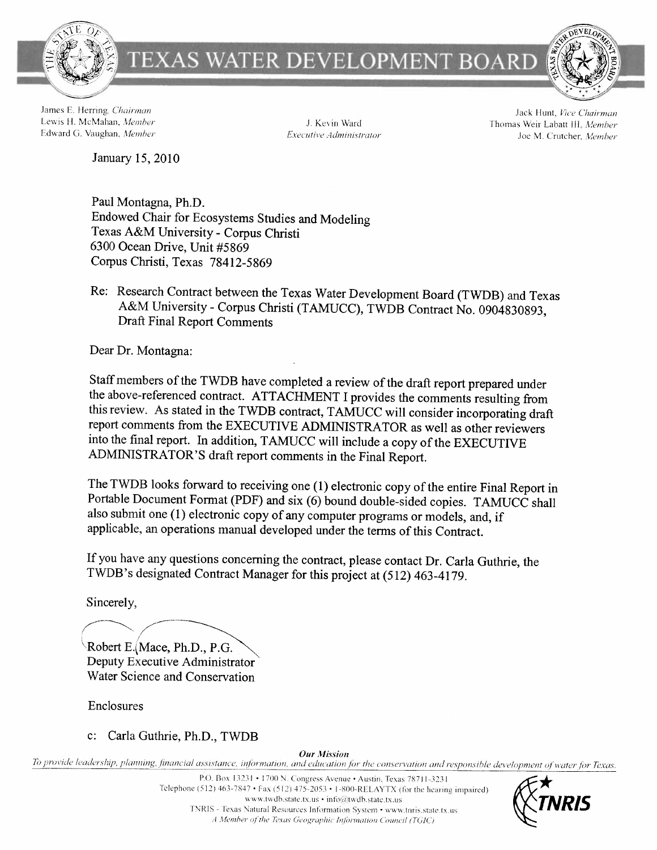

**TEXAS WATER DEVELOPMENT BOARD** 

James E. Herring, Chairman Lewis H. McMahan, Member Edward G. Vaughan, Member

J. Kevin Ward Executive Administrator

Jack Hunt, Vice Chairman Thomas Weir Labatt III, Member Joe M. Crutcher, Member

ORVEL.

January 15, 2010

Paul Montagna, Ph.D. Endowed Chair for Ecosystems Studies and Modeling Texas A&M University - Corpus Christi 6300 Ocean Drive, Unit #5869 Corpus Christi, Texas 78412-5869

Re: Research Contract between the Texas Water Development Board (TWDB) and Texas A&M University - Corpus Christi (TAMUCC), TWDB Contract No. 0904830893, Draft Final Report Comments

Dear Dr. Montagna:

Staff members of the TWDB have completed a review of the draft report prepared under the above-referenced contract. ATTACHMENT I provides the comments resulting from this review. As stated in the TWDB contract, TAMUCC will consider incorporating draft report comments from the EXECUTIVE ADMINISTRATOR as well as other reviewers into the final report. In addition, TAMUCC will include a copy of the EXECUTIVE ADMINISTRATOR'S draft report comments in the Final Report.

The TWDB looks forward to receiving one (1) electronic copy of the entire Final Report in Portable Document Format (PDF) and six (6) bound double-sided copies. TAMUCC shall also submit one (1) electronic copy of any computer programs or models, and, if applicable, an operations manual developed under the terms of this Contract.

If you have any questions concerning the contract, please contact Dr. Carla Guthrie, the TWDB's designated Contract Manager for this project at (512) 463-4179.

Sincerely,

Robert E. (Mace, Ph.D., P.G.

Deputy Executive Administrator Water Science and Conservation

Enclosures

## c: Carla Guthrie, Ph.D., TWDB

**Our Mission** 

To provide leadership, planning, financial assistance, information, and education for the conservation and responsible development of water for Texas.

P.O. Box 13231 • 1700 N. Congress Avenue • Austin, Texas 78711-3231 Telephone (512) 463-7847 • Fax (512) 475-2053 • 1-800-RELAYTX (for the hearing impaired) www.twdb.state.tx.us · info@twdb.state.tx.us TNRIS - Texas Natural Resources Information System · www.tnris.state.tx.us A Member of the Texas Geographic Information Council (TGIC)

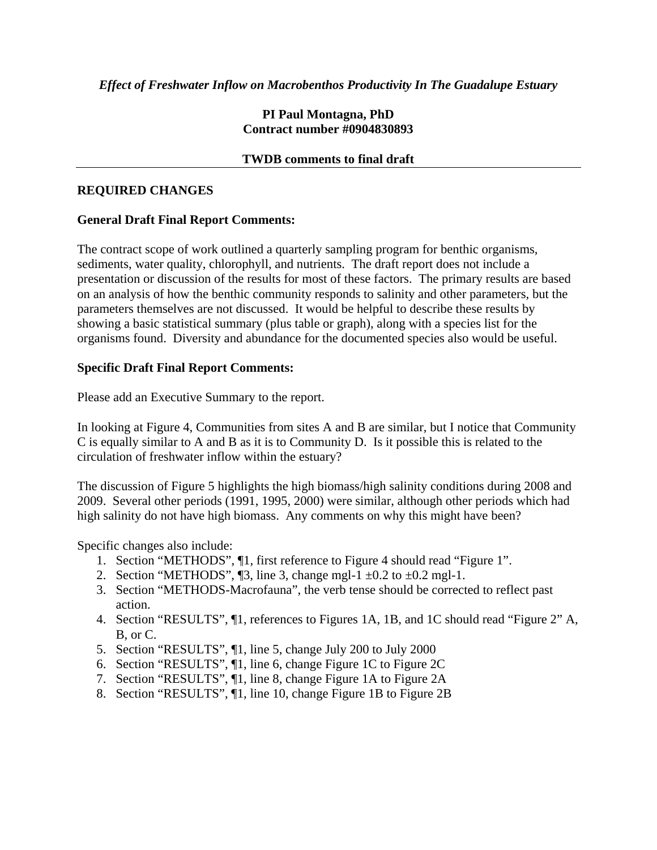## *Effect of Freshwater Inflow on Macrobenthos Productivity In The Guadalupe Estuary*

## **PI Paul Montagna, PhD Contract number #0904830893**

### **TWDB comments to final draft**

### **REQUIRED CHANGES**

### **General Draft Final Report Comments:**

The contract scope of work outlined a quarterly sampling program for benthic organisms, sediments, water quality, chlorophyll, and nutrients. The draft report does not include a presentation or discussion of the results for most of these factors. The primary results are based on an analysis of how the benthic community responds to salinity and other parameters, but the parameters themselves are not discussed. It would be helpful to describe these results by showing a basic statistical summary (plus table or graph), along with a species list for the organisms found. Diversity and abundance for the documented species also would be useful.

## **Specific Draft Final Report Comments:**

Please add an Executive Summary to the report.

In looking at Figure 4, Communities from sites A and B are similar, but I notice that Community C is equally similar to A and B as it is to Community D. Is it possible this is related to the circulation of freshwater inflow within the estuary?

The discussion of Figure 5 highlights the high biomass/high salinity conditions during 2008 and 2009. Several other periods (1991, 1995, 2000) were similar, although other periods which had high salinity do not have high biomass. Any comments on why this might have been?

Specific changes also include:

- 1. Section "METHODS", ¶1, first reference to Figure 4 should read "Figure 1".
- 2. Section "METHODS",  $\mathbb{I}3$ , line 3, change mgl-1  $\pm 0.2$  to  $\pm 0.2$  mgl-1.
- 3. Section "METHODS-Macrofauna", the verb tense should be corrected to reflect past action.
- 4. Section "RESULTS", ¶1, references to Figures 1A, 1B, and 1C should read "Figure 2" A, B, or C.
- 5. Section "RESULTS", ¶1, line 5, change July 200 to July 2000
- 6. Section "RESULTS", ¶1, line 6, change Figure 1C to Figure 2C
- 7. Section "RESULTS", ¶1, line 8, change Figure 1A to Figure 2A
- 8. Section "RESULTS", ¶1, line 10, change Figure 1B to Figure 2B